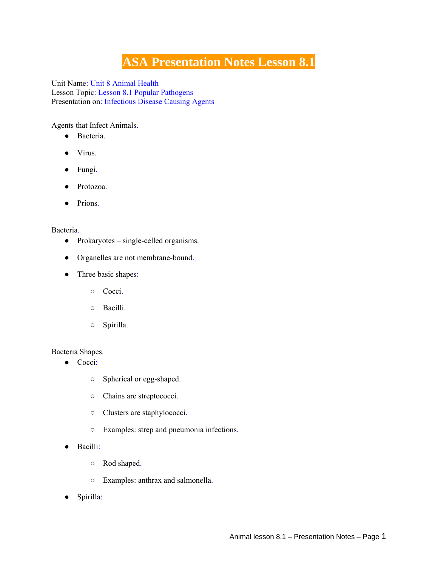# **ASA Presentation Notes Lesson 8.1**

Unit Name: Unit 8 Animal Health Lesson Topic: Lesson 8.1 Popular Pathogens Presentation on: Infectious Disease Causing Agents

Agents that Infect Animals.

- Bacteria.
- Virus.
- Fungi.
- Protozoa.
- Prions.

#### Bacteria.

- Prokaryotes single-celled organisms.
- Organelles are not membrane-bound.
- Three basic shapes:
	- Cocci.
	- Bacilli.
	- Spirilla.

#### Bacteria Shapes.

- Cocci:
	- Spherical or egg-shaped.
	- Chains are streptococci.
	- Clusters are staphylococci.
	- Examples: strep and pneumonia infections.
- Bacilli:
	- Rod shaped.
	- Examples: anthrax and salmonella.
- Spirilla: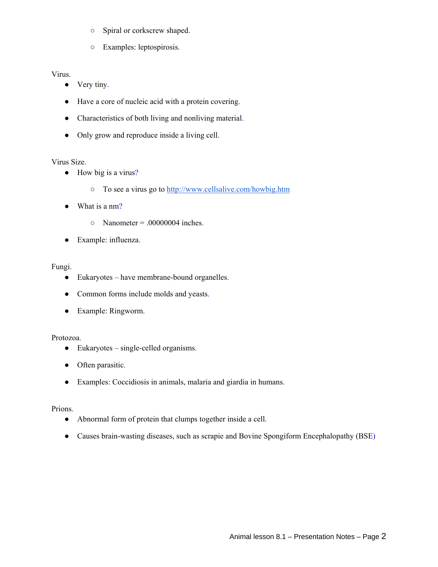- Spiral or corkscrew shaped.
- Examples: leptospirosis.

## Virus.

- Very tiny.
- Have a core of nucleic acid with a protein covering.
- Characteristics of both living and nonliving material.
- Only grow and reproduce inside a living cell.

### Virus Size.

- How big is a virus?
	- To see a virus go to http://www.cellsalive.com/howbig.htm
- What is a nm?
	- $\circ$  Nanometer = .00000004 inches.
- Example: influenza.

### Fungi.

- Eukaryotes have membrane-bound organelles.
- Common forms include molds and yeasts.
- Example: Ringworm.

# Protozoa.

- Eukaryotes single-celled organisms.
- Often parasitic.
- Examples: Coccidiosis in animals, malaria and giardia in humans.

#### Prions.

- Abnormal form of protein that clumps together inside a cell.
- Causes brain-wasting diseases, such as scrapie and Bovine Spongiform Encephalopathy (BSE)